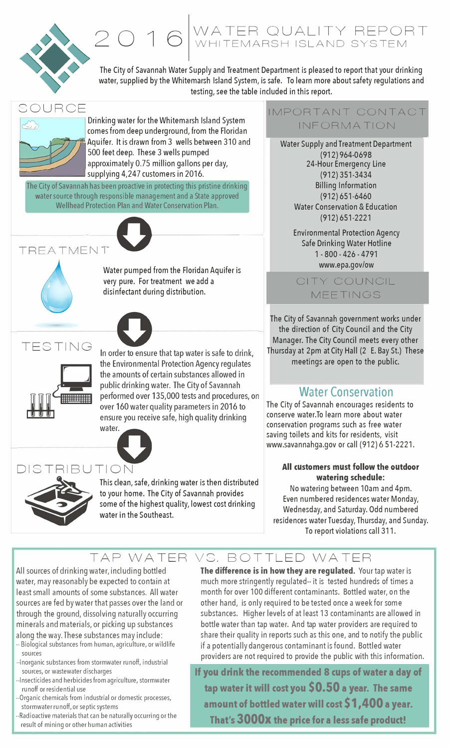

## 2 0 1 6 WATER QUALITY REPORT<br>
WHITEMARSH ISLAND SYSTEM

The City of Savannah Water Supply and Treatment Department is pleased to report that your drinking water, supplied by the Whitemarsh Island System, is safe. To learn more about safety regulations and testing, see the table included in this report.

#### SOURCE



Drinking water for the Whitemarsh Island System comes from deep underground, from the Floridan Aquifer. It is drawn from 3 wells between 310 and 500 feet deep. These 3 wells pumped approximately 0.75 million gallons per day, supplying 4,247 customers in 2016.

The City of Savannah has been proactive in protecting this pristine drinking water source through responsible management and a State approved Wellhead Protection Plan and Water Conservation Plan.

# ENT **0**



Water pumped from the Floridan Aquifer is very pure. For treatment we add a disinfectant during distribution.





In order to ensure that tap water is safe to drink, the Environmental Protection Agency regulates the amounts of certain substances allowed in public drinking water. The City of Savannah performed over 135,000 tests and procedures, on over 160 water quality parameters in 2016 to ensure you receive safe, high quality drinking water.



#### DISTRIBUTIO



This clean, safe, drinking water is then distributed to your home. The City of Savannah provides some of the highest quality, lowest cost drinking water in the Southeast.

#### IMPORTANT CONTACT INFORMATION -

Water Supply and Treatment Department (912) 964-0698 24-Hour Emergency Line (912)351-3434 Billing Information (912) 651-6460 Water Conservation & Education (912)651-2221

Environmental Protection Agency Safe Drinking Water Hotline 1 -800 -426 -4791 www.epa.gov/ow

CITY COUNCIL MEETINGS

The City of Savannah government works under the direction of City Council and the City Manager. The City Council meets every other Thursday at 2pm at City Hall (2 E. Bay St.) These meetings are open to the public.

#### **Water Conservation**

The City of Savannah encourages residents to conserve water.To learn more about water conservation programs such as free water saving toilets and kits for residents, visit www.savannahga.gov or call (912)651-2221.

#### **All customers must follow the outdoor watering schedule:**

No watering between 10am and 4pm. Even numbered residences water Monday, Wednesday, and Saturday. Odd numbered residences water Tuesday, Thursday, and Sunday. To report violations call 311.

TAP WATER VS. BOTTLED WATER

All sources of drinking water, including bottled water, may reasonably be expected to contain at least small amounts of some substances. All water sources are fed by water that passes over the land or through the ground, dissolving naturally occurring minerals and materials, or picking up substances along the way. These substances may include:

- -- Biological substances from human, agriculture, or wildlife sources
- --Inorganic substances from stormwater runoff, industrial sources, or wastewater discharges
- --Insecticides and herbicides from agriculture, stormwater runoff or residential use
- --Organic chemicals from industrial or domestic processes, stormwater runoff, or septic systems
- --Radioactive materials that can be naturally occurring or the result of mining or other human activities

**The difference is in how they are regulated.** Your tap water is much more stringently regulated-- it is tested hundreds of times a month for over 100 different contaminants. Bottled water, on the other hand, is only required to be tested once a week for some substances. Higher levels of at least 13 contaminants are allowed in bottle water than tap water. And tap water providers are required to share their quality in reports such as this one, and to notify the public if a potentially dangerous contaminant is found. Bottled water providers are not required to provide the public with this information.

**If you drink the recommended 8 cups of water a day of tap water it will cost you \$0.50 a year. The same amount of bottled water will cost \$1,400 a year.**  That's 3000**X** the price for a less safe product!